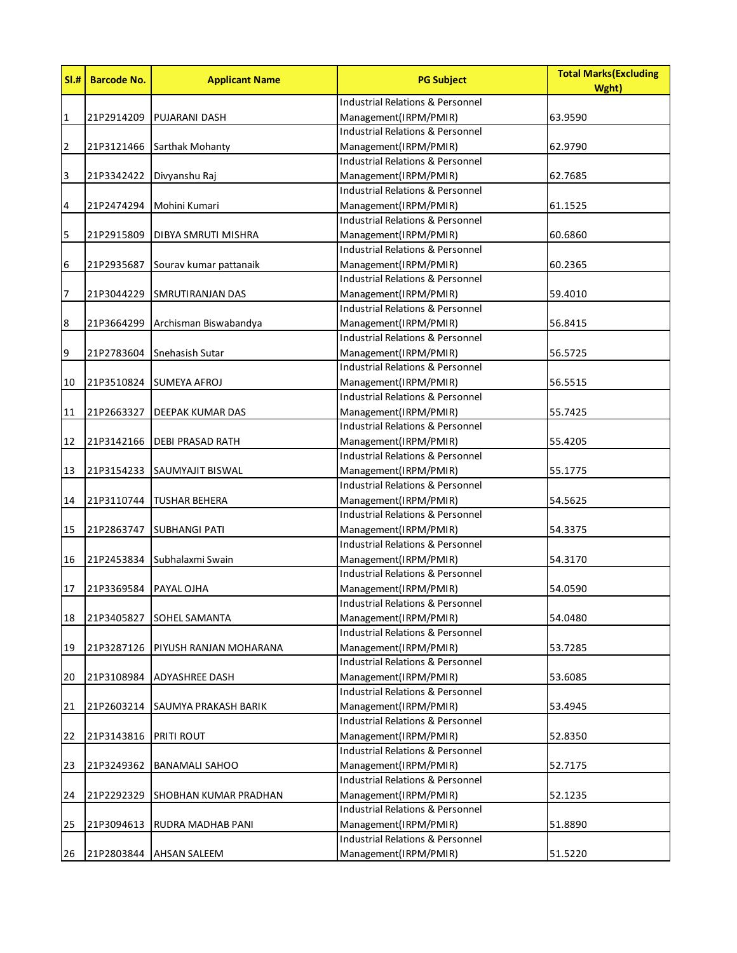| SI.#             | <b>Barcode No.</b> | <b>Applicant Name</b>   | <b>PG Subject</b>                           | <b>Total Marks (Excluding</b><br>Wght) |
|------------------|--------------------|-------------------------|---------------------------------------------|----------------------------------------|
|                  |                    |                         | <b>Industrial Relations &amp; Personnel</b> |                                        |
| $\mathbf{1}$     | 21P2914209         | PUJARANI DASH           | Management(IRPM/PMIR)                       | 63.9590                                |
|                  |                    |                         | <b>Industrial Relations &amp; Personnel</b> |                                        |
| $\overline{2}$   | 21P3121466         | Sarthak Mohanty         | Management(IRPM/PMIR)                       | 62.9790                                |
|                  |                    |                         | <b>Industrial Relations &amp; Personnel</b> |                                        |
| 3                | 21P3342422         | Divyanshu Raj           | Management(IRPM/PMIR)                       | 62.7685                                |
|                  |                    |                         | <b>Industrial Relations &amp; Personnel</b> |                                        |
| 4                | 21P2474294         | Mohini Kumari           | Management(IRPM/PMIR)                       | 61.1525                                |
|                  |                    |                         | <b>Industrial Relations &amp; Personnel</b> |                                        |
| 5                | 21P2915809         | DIBYA SMRUTI MISHRA     | Management(IRPM/PMIR)                       | 60.6860                                |
|                  |                    |                         | <b>Industrial Relations &amp; Personnel</b> |                                        |
| 6                | 21P2935687         | Sourav kumar pattanaik  | Management(IRPM/PMIR)                       | 60.2365                                |
|                  |                    |                         | <b>Industrial Relations &amp; Personnel</b> |                                        |
| 7                | 21P3044229         | SMRUTIRANJAN DAS        | Management(IRPM/PMIR)                       | 59.4010                                |
|                  |                    |                         | <b>Industrial Relations &amp; Personnel</b> |                                        |
| $\boldsymbol{8}$ | 21P3664299         | Archisman Biswabandya   | Management(IRPM/PMIR)                       | 56.8415                                |
|                  |                    |                         | <b>Industrial Relations &amp; Personnel</b> |                                        |
| 9                | 21P2783604         | Snehasish Sutar         | Management(IRPM/PMIR)                       | 56.5725                                |
|                  |                    |                         | <b>Industrial Relations &amp; Personnel</b> |                                        |
| 10               | 21P3510824         | <b>SUMEYA AFROJ</b>     | Management(IRPM/PMIR)                       | 56.5515                                |
|                  |                    |                         | <b>Industrial Relations &amp; Personnel</b> |                                        |
| 11               | 21P2663327         | DEEPAK KUMAR DAS        | Management(IRPM/PMIR)                       | 55.7425                                |
|                  |                    |                         | <b>Industrial Relations &amp; Personnel</b> |                                        |
| 12               | 21P3142166         | <b>DEBI PRASAD RATH</b> | Management(IRPM/PMIR)                       | 55.4205                                |
|                  |                    |                         | <b>Industrial Relations &amp; Personnel</b> |                                        |
| 13               | 21P3154233         | SAUMYAJIT BISWAL        | Management(IRPM/PMIR)                       | 55.1775                                |
|                  |                    |                         | <b>Industrial Relations &amp; Personnel</b> |                                        |
| 14               | 21P3110744         | <b>TUSHAR BEHERA</b>    | Management(IRPM/PMIR)                       | 54.5625                                |
|                  |                    |                         | <b>Industrial Relations &amp; Personnel</b> |                                        |
| 15               | 21P2863747         | <b>SUBHANGI PATI</b>    | Management(IRPM/PMIR)                       | 54.3375                                |
|                  |                    |                         | <b>Industrial Relations &amp; Personnel</b> |                                        |
| 16               | 21P2453834         | Subhalaxmi Swain        | Management(IRPM/PMIR)                       | 54.3170                                |
|                  |                    |                         | <b>Industrial Relations &amp; Personnel</b> |                                        |
| 17               | 21P3369584         | PAYAL OJHA              | Management(IRPM/PMIR)                       | 54.0590                                |
|                  |                    |                         | Industrial Relations & Personnel            |                                        |
| 18               | 21P3405827         | SOHEL SAMANTA           | Management(IRPM/PMIR)                       | 54.0480                                |
|                  |                    |                         | <b>Industrial Relations &amp; Personnel</b> |                                        |
| 19               | 21P3287126         | PIYUSH RANJAN MOHARANA  | Management(IRPM/PMIR)                       | 53.7285                                |
|                  |                    |                         | <b>Industrial Relations &amp; Personnel</b> |                                        |
| 20               | 21P3108984         | ADYASHREE DASH          | Management(IRPM/PMIR)                       | 53.6085                                |
|                  |                    |                         | <b>Industrial Relations &amp; Personnel</b> |                                        |
| 21               | 21P2603214         | SAUMYA PRAKASH BARIK    | Management(IRPM/PMIR)                       | 53.4945                                |
|                  |                    |                         | <b>Industrial Relations &amp; Personnel</b> |                                        |
| 22               | 21P3143816         | PRITI ROUT              | Management(IRPM/PMIR)                       | 52.8350                                |
|                  |                    |                         | <b>Industrial Relations &amp; Personnel</b> |                                        |
| 23               | 21P3249362         | BANAMALI SAHOO          | Management(IRPM/PMIR)                       | 52.7175                                |
|                  |                    |                         | <b>Industrial Relations &amp; Personnel</b> |                                        |
| 24               | 21P2292329         | SHOBHAN KUMAR PRADHAN   | Management(IRPM/PMIR)                       | 52.1235                                |
|                  |                    |                         | <b>Industrial Relations &amp; Personnel</b> |                                        |
| 25               | 21P3094613         | RUDRA MADHAB PANI       | Management(IRPM/PMIR)                       | 51.8890                                |
|                  |                    |                         | <b>Industrial Relations &amp; Personnel</b> |                                        |
| 26               | 21P2803844         | AHSAN SALEEM            | Management(IRPM/PMIR)                       | 51.5220                                |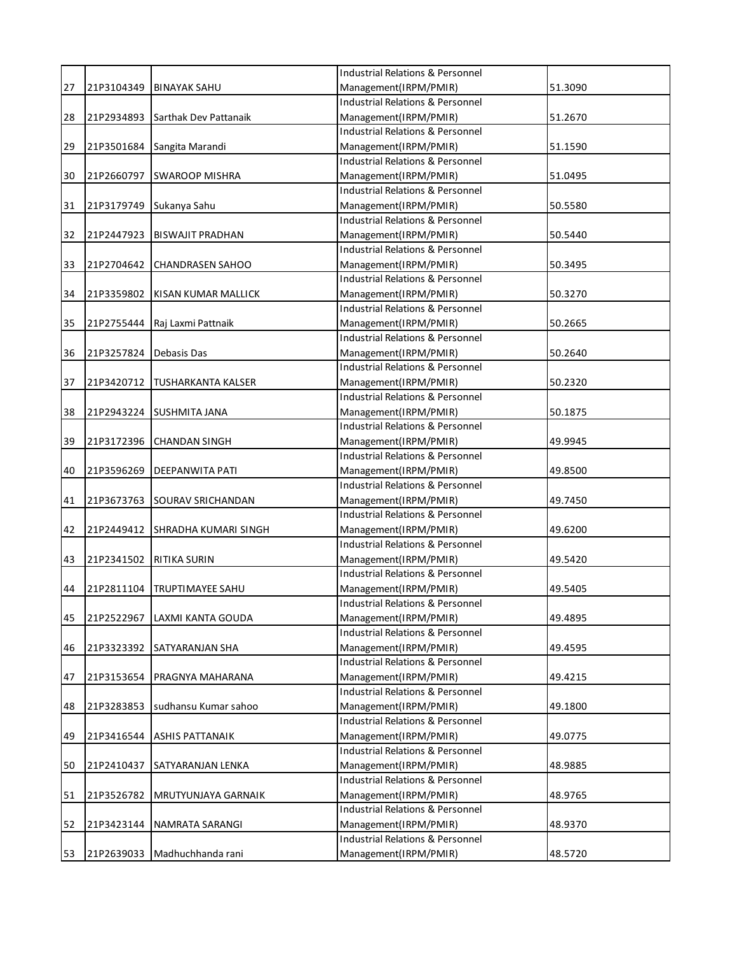|    |            |                                  | <b>Industrial Relations &amp; Personnel</b> |         |
|----|------------|----------------------------------|---------------------------------------------|---------|
| 27 | 21P3104349 | <b>BINAYAK SAHU</b>              | Management(IRPM/PMIR)                       | 51.3090 |
|    |            |                                  | <b>Industrial Relations &amp; Personnel</b> |         |
| 28 |            | 21P2934893 Sarthak Dev Pattanaik | Management(IRPM/PMIR)                       | 51.2670 |
|    |            |                                  | <b>Industrial Relations &amp; Personnel</b> |         |
| 29 |            | 21P3501684 Sangita Marandi       | Management(IRPM/PMIR)                       | 51.1590 |
|    |            |                                  | <b>Industrial Relations &amp; Personnel</b> |         |
| 30 |            | 21P2660797 SWAROOP MISHRA        | Management(IRPM/PMIR)                       | 51.0495 |
|    |            |                                  | <b>Industrial Relations &amp; Personnel</b> |         |
| 31 | 21P3179749 | Sukanya Sahu                     | Management(IRPM/PMIR)                       | 50.5580 |
|    |            |                                  | <b>Industrial Relations &amp; Personnel</b> |         |
| 32 |            | 21P2447923 BISWAJIT PRADHAN      | Management(IRPM/PMIR)                       | 50.5440 |
|    |            |                                  | <b>Industrial Relations &amp; Personnel</b> |         |
| 33 |            | 21P2704642 CHANDRASEN SAHOO      | Management(IRPM/PMIR)                       | 50.3495 |
|    |            |                                  | <b>Industrial Relations &amp; Personnel</b> |         |
| 34 | 21P3359802 | KISAN KUMAR MALLICK              | Management(IRPM/PMIR)                       | 50.3270 |
|    |            |                                  | <b>Industrial Relations &amp; Personnel</b> |         |
| 35 | 21P2755444 | Raj Laxmi Pattnaik               | Management(IRPM/PMIR)                       | 50.2665 |
|    |            |                                  | <b>Industrial Relations &amp; Personnel</b> |         |
| 36 | 21P3257824 | <b>Debasis Das</b>               | Management(IRPM/PMIR)                       | 50.2640 |
|    |            |                                  | <b>Industrial Relations &amp; Personnel</b> |         |
| 37 | 21P3420712 | <b>TUSHARKANTA KALSER</b>        | Management(IRPM/PMIR)                       | 50.2320 |
|    |            |                                  | <b>Industrial Relations &amp; Personnel</b> |         |
| 38 |            | 21P2943224 SUSHMITA JANA         | Management(IRPM/PMIR)                       | 50.1875 |
|    |            |                                  | <b>Industrial Relations &amp; Personnel</b> |         |
| 39 | 21P3172396 | <b>CHANDAN SINGH</b>             | Management(IRPM/PMIR)                       | 49.9945 |
|    |            |                                  | <b>Industrial Relations &amp; Personnel</b> |         |
| 40 | 21P3596269 | <b>DEEPANWITA PATI</b>           | Management(IRPM/PMIR)                       | 49.8500 |
|    |            |                                  | <b>Industrial Relations &amp; Personnel</b> |         |
| 41 | 21P3673763 | SOURAV SRICHANDAN                | Management(IRPM/PMIR)                       | 49.7450 |
|    |            |                                  | <b>Industrial Relations &amp; Personnel</b> |         |
| 42 | 21P2449412 | SHRADHA KUMARI SINGH             | Management(IRPM/PMIR)                       | 49.6200 |
|    |            |                                  | <b>Industrial Relations &amp; Personnel</b> |         |
| 43 | 21P2341502 | RITIKA SURIN                     | Management(IRPM/PMIR)                       | 49.5420 |
|    |            |                                  | <b>Industrial Relations &amp; Personnel</b> |         |
| 44 |            | 21P2811104   TRUPTIMAYEE SAHU    | Management(IRPM/PMIR)                       | 49.5405 |
|    |            |                                  | <b>Industrial Relations &amp; Personnel</b> |         |
| 45 | 21P2522967 | LAXMI KANTA GOUDA                | Management(IRPM/PMIR)                       | 49.4895 |
|    |            |                                  | <b>Industrial Relations &amp; Personnel</b> |         |
| 46 | 21P3323392 | <b>SATYARANJAN SHA</b>           | Management(IRPM/PMIR)                       | 49.4595 |
|    |            |                                  | <b>Industrial Relations &amp; Personnel</b> |         |
| 47 | 21P3153654 | PRAGNYA MAHARANA                 | Management(IRPM/PMIR)                       | 49.4215 |
|    |            |                                  | <b>Industrial Relations &amp; Personnel</b> |         |
| 48 | 21P3283853 | sudhansu Kumar sahoo             | Management(IRPM/PMIR)                       | 49.1800 |
|    |            |                                  | <b>Industrial Relations &amp; Personnel</b> |         |
| 49 | 21P3416544 | <b>ASHIS PATTANAIK</b>           | Management(IRPM/PMIR)                       | 49.0775 |
|    |            |                                  | <b>Industrial Relations &amp; Personnel</b> |         |
| 50 | 21P2410437 | SATYARANJAN LENKA                | Management(IRPM/PMIR)                       | 48.9885 |
|    |            |                                  | <b>Industrial Relations &amp; Personnel</b> |         |
| 51 | 21P3526782 | MRUTYUNJAYA GARNAIK              | Management(IRPM/PMIR)                       | 48.9765 |
|    |            |                                  | <b>Industrial Relations &amp; Personnel</b> |         |
| 52 | 21P3423144 | NAMRATA SARANGI                  | Management(IRPM/PMIR)                       | 48.9370 |
|    |            |                                  | <b>Industrial Relations &amp; Personnel</b> |         |
| 53 | 21P2639033 | Madhuchhanda rani                | Management(IRPM/PMIR)                       | 48.5720 |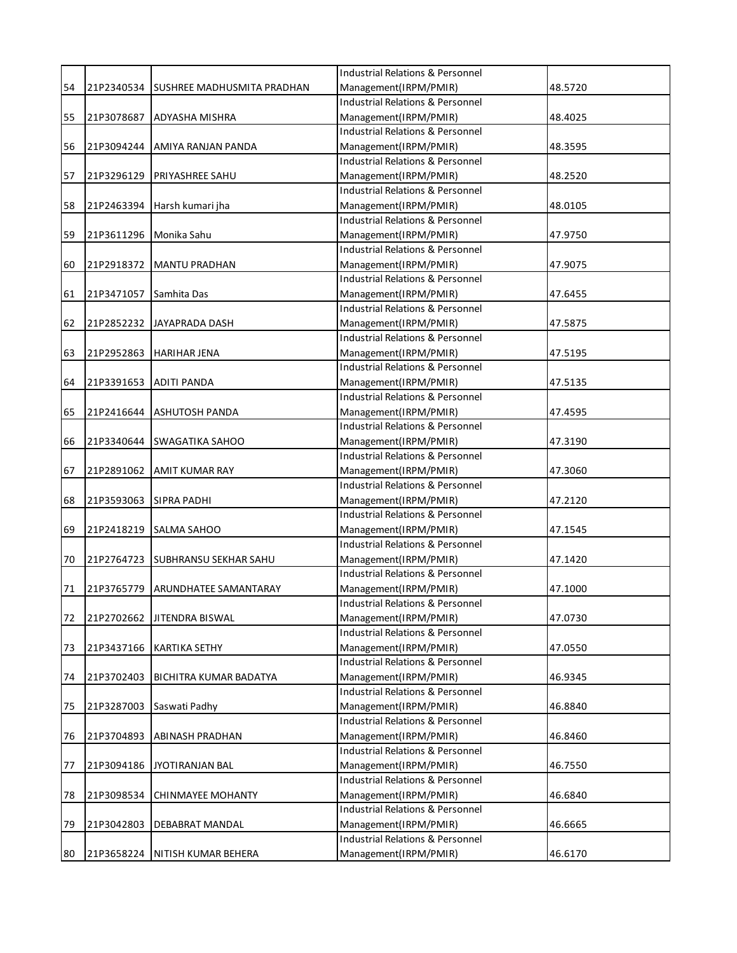|    |                        |                                       | <b>Industrial Relations &amp; Personnel</b> |         |
|----|------------------------|---------------------------------------|---------------------------------------------|---------|
| 54 |                        | 21P2340534 SUSHREE MADHUSMITA PRADHAN | Management(IRPM/PMIR)                       | 48.5720 |
|    |                        |                                       | <b>Industrial Relations &amp; Personnel</b> |         |
| 55 |                        | 21P3078687 ADYASHA MISHRA             | Management(IRPM/PMIR)                       | 48.4025 |
|    |                        |                                       | <b>Industrial Relations &amp; Personnel</b> |         |
| 56 |                        | 21P3094244 AMIYA RANJAN PANDA         | Management(IRPM/PMIR)                       | 48.3595 |
|    |                        |                                       | <b>Industrial Relations &amp; Personnel</b> |         |
| 57 |                        | 21P3296129 PRIYASHREE SAHU            | Management(IRPM/PMIR)                       | 48.2520 |
|    |                        |                                       | <b>Industrial Relations &amp; Personnel</b> |         |
| 58 |                        | 21P2463394 Harsh kumari jha           | Management(IRPM/PMIR)                       | 48.0105 |
|    |                        |                                       | <b>Industrial Relations &amp; Personnel</b> |         |
| 59 | 21P3611296 Monika Sahu |                                       | Management(IRPM/PMIR)                       | 47.9750 |
|    |                        |                                       | <b>Industrial Relations &amp; Personnel</b> |         |
| 60 |                        | 21P2918372 MANTU PRADHAN              | Management(IRPM/PMIR)                       | 47.9075 |
|    |                        |                                       | <b>Industrial Relations &amp; Personnel</b> |         |
| 61 | 21P3471057             | Samhita Das                           | Management(IRPM/PMIR)                       | 47.6455 |
|    |                        |                                       | <b>Industrial Relations &amp; Personnel</b> |         |
| 62 |                        | 21P2852232 JAYAPRADA DASH             | Management(IRPM/PMIR)                       | 47.5875 |
|    |                        |                                       | <b>Industrial Relations &amp; Personnel</b> |         |
| 63 | 21P2952863             | <b>HARIHAR JENA</b>                   | Management(IRPM/PMIR)                       | 47.5195 |
|    |                        |                                       | <b>Industrial Relations &amp; Personnel</b> |         |
| 64 | 21P3391653             | <b>ADITI PANDA</b>                    | Management(IRPM/PMIR)                       | 47.5135 |
|    |                        |                                       | <b>Industrial Relations &amp; Personnel</b> |         |
| 65 |                        | 21P2416644 ASHUTOSH PANDA             | Management(IRPM/PMIR)                       | 47.4595 |
|    |                        |                                       | <b>Industrial Relations &amp; Personnel</b> |         |
| 66 |                        | 21P3340644 SWAGATIKA SAHOO            | Management(IRPM/PMIR)                       | 47.3190 |
|    |                        |                                       | <b>Industrial Relations &amp; Personnel</b> |         |
| 67 |                        | 21P2891062 AMIT KUMAR RAY             | Management(IRPM/PMIR)                       | 47.3060 |
|    |                        |                                       | <b>Industrial Relations &amp; Personnel</b> |         |
| 68 | 21P3593063 SIPRA PADHI |                                       | Management(IRPM/PMIR)                       | 47.2120 |
|    |                        |                                       | <b>Industrial Relations &amp; Personnel</b> |         |
| 69 | 21P2418219             | <b>SALMA SAHOO</b>                    | Management(IRPM/PMIR)                       | 47.1545 |
|    |                        |                                       | <b>Industrial Relations &amp; Personnel</b> |         |
| 70 | 21P2764723             | <b>SUBHRANSU SEKHAR SAHU</b>          | Management(IRPM/PMIR)                       | 47.1420 |
|    |                        |                                       | <b>Industrial Relations &amp; Personnel</b> |         |
| 71 | 21P3765779             | ARUNDHATEE SAMANTARAY                 | Management(IRPM/PMIR)                       | 47.1000 |
|    |                        |                                       | <b>Industrial Relations &amp; Personnel</b> |         |
| 72 |                        | 21P2702662 JITENDRA BISWAL            | Management(IRPM/PMIR)                       | 47.0730 |
|    |                        |                                       | <b>Industrial Relations &amp; Personnel</b> |         |
| 73 | 21P3437166             | <b>KARTIKA SETHY</b>                  | Management(IRPM/PMIR)                       | 47.0550 |
|    |                        |                                       | <b>Industrial Relations &amp; Personnel</b> |         |
| 74 | 21P3702403             | <b>BICHITRA KUMAR BADATYA</b>         | Management(IRPM/PMIR)                       | 46.9345 |
|    |                        |                                       | <b>Industrial Relations &amp; Personnel</b> |         |
| 75 | 21P3287003             | Saswati Padhy                         | Management(IRPM/PMIR)                       | 46.8840 |
|    |                        |                                       | <b>Industrial Relations &amp; Personnel</b> |         |
| 76 | 21P3704893             | <b>ABINASH PRADHAN</b>                | Management(IRPM/PMIR)                       | 46.8460 |
|    |                        |                                       | <b>Industrial Relations &amp; Personnel</b> |         |
| 77 | 21P3094186             | JYOTIRANJAN BAL                       | Management(IRPM/PMIR)                       | 46.7550 |
|    |                        |                                       | <b>Industrial Relations &amp; Personnel</b> |         |
| 78 | 21P3098534             | <b>CHINMAYEE MOHANTY</b>              | Management(IRPM/PMIR)                       | 46.6840 |
|    |                        |                                       | <b>Industrial Relations &amp; Personnel</b> |         |
| 79 | 21P3042803             | DEBABRAT MANDAL                       | Management(IRPM/PMIR)                       | 46.6665 |
|    |                        |                                       | <b>Industrial Relations &amp; Personnel</b> |         |
| 80 | 21P3658224             | NITISH KUMAR BEHERA                   | Management(IRPM/PMIR)                       | 46.6170 |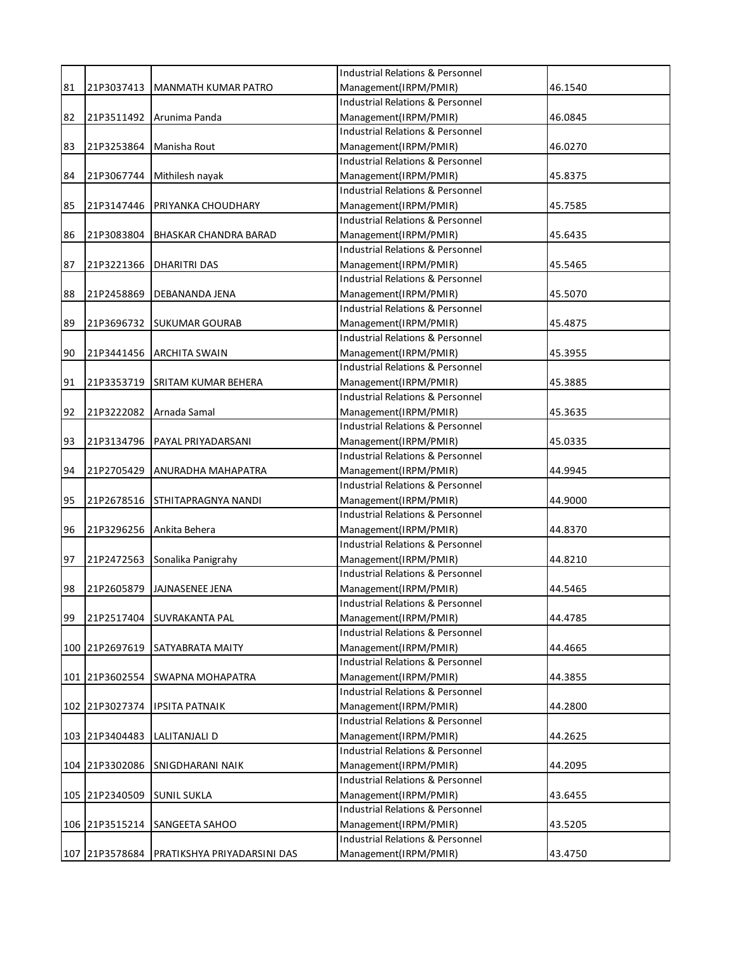|    |                |                              | <b>Industrial Relations &amp; Personnel</b>                          |         |
|----|----------------|------------------------------|----------------------------------------------------------------------|---------|
| 81 | 21P3037413     | <b>MANMATH KUMAR PATRO</b>   | Management(IRPM/PMIR)                                                | 46.1540 |
|    |                |                              | <b>Industrial Relations &amp; Personnel</b>                          |         |
| 82 | 21P3511492     | Arunima Panda                | Management(IRPM/PMIR)                                                | 46.0845 |
|    |                |                              | <b>Industrial Relations &amp; Personnel</b>                          |         |
| 83 | 21P3253864     | Manisha Rout                 | Management(IRPM/PMIR)                                                | 46.0270 |
|    |                |                              | <b>Industrial Relations &amp; Personnel</b>                          |         |
| 84 | 21P3067744     | Mithilesh nayak              | Management(IRPM/PMIR)                                                | 45.8375 |
|    |                |                              | <b>Industrial Relations &amp; Personnel</b>                          |         |
| 85 | 21P3147446     | PRIYANKA CHOUDHARY           | Management(IRPM/PMIR)                                                | 45.7585 |
|    |                |                              | <b>Industrial Relations &amp; Personnel</b>                          |         |
| 86 | 21P3083804     | <b>BHASKAR CHANDRA BARAD</b> | Management(IRPM/PMIR)                                                | 45.6435 |
|    |                |                              | <b>Industrial Relations &amp; Personnel</b>                          |         |
| 87 | 21P3221366     | <b>DHARITRI DAS</b>          | Management(IRPM/PMIR)                                                | 45.5465 |
|    |                |                              | <b>Industrial Relations &amp; Personnel</b>                          |         |
| 88 | 21P2458869     | DEBANANDA JENA               | Management(IRPM/PMIR)                                                | 45.5070 |
|    |                |                              | <b>Industrial Relations &amp; Personnel</b>                          |         |
| 89 | 21P3696732     | <b>SUKUMAR GOURAB</b>        | Management(IRPM/PMIR)                                                | 45.4875 |
|    |                |                              | <b>Industrial Relations &amp; Personnel</b>                          |         |
| 90 | 21P3441456     | <b>ARCHITA SWAIN</b>         | Management(IRPM/PMIR)                                                | 45.3955 |
|    |                |                              | <b>Industrial Relations &amp; Personnel</b>                          |         |
| 91 | 21P3353719     | SRITAM KUMAR BEHERA          | Management(IRPM/PMIR)                                                | 45.3885 |
|    |                |                              | <b>Industrial Relations &amp; Personnel</b>                          |         |
| 92 | 21P3222082     | Arnada Samal                 | Management(IRPM/PMIR)                                                | 45.3635 |
|    |                |                              | <b>Industrial Relations &amp; Personnel</b>                          |         |
|    |                |                              |                                                                      | 45.0335 |
| 93 | 21P3134796     | PAYAL PRIYADARSANI           | Management(IRPM/PMIR)<br><b>Industrial Relations &amp; Personnel</b> |         |
|    |                |                              |                                                                      |         |
| 94 | 21P2705429     | ANURADHA MAHAPATRA           | Management(IRPM/PMIR)                                                | 44.9945 |
|    |                |                              | <b>Industrial Relations &amp; Personnel</b>                          |         |
| 95 | 21P2678516     | STHITAPRAGNYA NANDI          | Management(IRPM/PMIR)                                                | 44.9000 |
|    |                |                              | <b>Industrial Relations &amp; Personnel</b>                          |         |
| 96 | 21P3296256     | Ankita Behera                | Management(IRPM/PMIR)                                                | 44.8370 |
|    |                |                              | <b>Industrial Relations &amp; Personnel</b>                          |         |
| 97 | 21P2472563     | Sonalika Panigrahy           | Management(IRPM/PMIR)                                                | 44.8210 |
|    |                |                              | <b>Industrial Relations &amp; Personnel</b>                          |         |
| 98 | 21P2605879     | JAJNASENEE JENA              | Management(IRPM/PMIR)                                                | 44.5465 |
|    |                |                              | Industrial Relations & Personnel                                     |         |
| 99 | 21P2517404     | <b>SUVRAKANTA PAL</b>        | Management(IRPM/PMIR)                                                | 44.4785 |
|    |                |                              | <b>Industrial Relations &amp; Personnel</b>                          |         |
|    | 100 21P2697619 | SATYABRATA MAITY             | Management(IRPM/PMIR)                                                | 44.4665 |
|    |                |                              | Industrial Relations & Personnel                                     |         |
|    | 101 21P3602554 | <b>SWAPNA MOHAPATRA</b>      | Management(IRPM/PMIR)                                                | 44.3855 |
|    |                |                              | <b>Industrial Relations &amp; Personnel</b>                          |         |
|    | 102 21P3027374 | <b>IPSITA PATNAIK</b>        | Management(IRPM/PMIR)                                                | 44.2800 |
|    |                |                              | <b>Industrial Relations &amp; Personnel</b>                          |         |
|    | 103 21P3404483 | LALITANJALI D                | Management(IRPM/PMIR)                                                | 44.2625 |
|    |                |                              | <b>Industrial Relations &amp; Personnel</b>                          |         |
|    | 104 21P3302086 | SNIGDHARANI NAIK             | Management(IRPM/PMIR)                                                | 44.2095 |
|    |                |                              | <b>Industrial Relations &amp; Personnel</b>                          |         |
|    | 105 21P2340509 | <b>SUNIL SUKLA</b>           | Management(IRPM/PMIR)                                                | 43.6455 |
|    |                |                              | <b>Industrial Relations &amp; Personnel</b>                          |         |
|    | 106 21P3515214 | SANGEETA SAHOO               | Management(IRPM/PMIR)                                                | 43.5205 |
|    |                |                              | <b>Industrial Relations &amp; Personnel</b>                          |         |
|    | 107 21P3578684 | PRATIKSHYA PRIYADARSINI DAS  | Management(IRPM/PMIR)                                                | 43.4750 |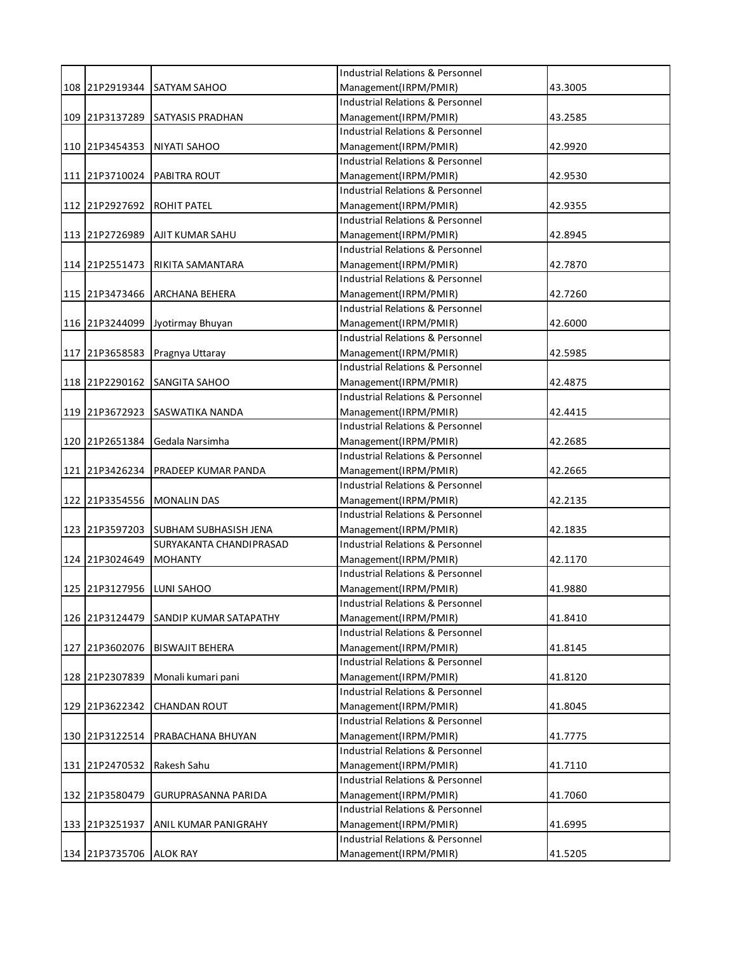|                            |                                      | <b>Industrial Relations &amp; Personnel</b>                          |         |
|----------------------------|--------------------------------------|----------------------------------------------------------------------|---------|
|                            | 108 21P2919344 SATYAM SAHOO          | Management(IRPM/PMIR)                                                | 43.3005 |
|                            |                                      | <b>Industrial Relations &amp; Personnel</b>                          |         |
|                            | 109 21P3137289 SATYASIS PRADHAN      | Management(IRPM/PMIR)                                                | 43.2585 |
|                            |                                      | <b>Industrial Relations &amp; Personnel</b>                          |         |
|                            | 110 21P3454353 NIYATI SAHOO          | Management(IRPM/PMIR)                                                | 42.9920 |
|                            |                                      | <b>Industrial Relations &amp; Personnel</b>                          |         |
|                            | 111 21P3710024 PABITRA ROUT          | Management(IRPM/PMIR)                                                | 42.9530 |
|                            |                                      | <b>Industrial Relations &amp; Personnel</b>                          |         |
| 112 21P2927692 ROHIT PATEL |                                      |                                                                      | 42.9355 |
|                            |                                      | Management(IRPM/PMIR)<br><b>Industrial Relations &amp; Personnel</b> |         |
|                            |                                      |                                                                      | 42.8945 |
|                            | 113 21P2726989 AJIT KUMAR SAHU       | Management(IRPM/PMIR)<br><b>Industrial Relations &amp; Personnel</b> |         |
|                            |                                      |                                                                      |         |
|                            | 114 21P2551473 RIKITA SAMANTARA      | Management(IRPM/PMIR)                                                | 42.7870 |
|                            |                                      | <b>Industrial Relations &amp; Personnel</b>                          |         |
| 115 21P3473466             | <b>ARCHANA BEHERA</b>                | Management(IRPM/PMIR)                                                | 42.7260 |
|                            |                                      | <b>Industrial Relations &amp; Personnel</b>                          |         |
|                            | 116 21P3244099 Jyotirmay Bhuyan      | Management(IRPM/PMIR)                                                | 42.6000 |
|                            |                                      | <b>Industrial Relations &amp; Personnel</b>                          |         |
|                            | 117 21P3658583 Pragnya Uttaray       | Management(IRPM/PMIR)                                                | 42.5985 |
|                            |                                      | <b>Industrial Relations &amp; Personnel</b>                          |         |
|                            | 118 21P2290162 SANGITA SAHOO         | Management(IRPM/PMIR)                                                | 42.4875 |
|                            |                                      | <b>Industrial Relations &amp; Personnel</b>                          |         |
|                            | 119 21P3672923 SASWATIKA NANDA       | Management(IRPM/PMIR)                                                | 42.4415 |
|                            |                                      | <b>Industrial Relations &amp; Personnel</b>                          |         |
| 120 21P2651384             | Gedala Narsimha                      | Management(IRPM/PMIR)                                                | 42.2685 |
|                            |                                      | <b>Industrial Relations &amp; Personnel</b>                          |         |
| 121 21P3426234             | PRADEEP KUMAR PANDA                  | Management(IRPM/PMIR)                                                | 42.2665 |
|                            |                                      | <b>Industrial Relations &amp; Personnel</b>                          |         |
|                            | 122 21P3354556 MONALIN DAS           | Management(IRPM/PMIR)                                                | 42.2135 |
|                            |                                      | <b>Industrial Relations &amp; Personnel</b>                          |         |
|                            | 123 21P3597203 SUBHAM SUBHASISH JENA | Management(IRPM/PMIR)                                                | 42.1835 |
|                            | SURYAKANTA CHANDIPRASAD              | <b>Industrial Relations &amp; Personnel</b>                          |         |
| 124 21P3024649             | <b>MOHANTY</b>                       | Management(IRPM/PMIR)                                                | 42.1170 |
|                            |                                      | <b>Industrial Relations &amp; Personnel</b>                          |         |
| 125 21P3127956 LUNI SAHOO  |                                      | Management(IRPM/PMIR)                                                | 41.9880 |
|                            |                                      | Industrial Relations & Personnel                                     |         |
| 126 21P3124479             | SANDIP KUMAR SATAPATHY               | Management(IRPM/PMIR)                                                | 41.8410 |
|                            |                                      | <b>Industrial Relations &amp; Personnel</b>                          |         |
| 127 21P3602076             | <b>BISWAJIT BEHERA</b>               | Management(IRPM/PMIR)                                                | 41.8145 |
|                            |                                      | Industrial Relations & Personnel                                     |         |
| 128 21P2307839             | Monali kumari pani                   | Management(IRPM/PMIR)                                                | 41.8120 |
|                            |                                      | <b>Industrial Relations &amp; Personnel</b>                          |         |
| 129 21P3622342             | <b>CHANDAN ROUT</b>                  | Management(IRPM/PMIR)                                                | 41.8045 |
|                            |                                      | <b>Industrial Relations &amp; Personnel</b>                          |         |
|                            |                                      |                                                                      |         |
| 130 21P3122514             | PRABACHANA BHUYAN                    | Management(IRPM/PMIR)<br><b>Industrial Relations &amp; Personnel</b> | 41.7775 |
|                            |                                      |                                                                      |         |
| 131 21P2470532             | Rakesh Sahu                          | Management(IRPM/PMIR)                                                | 41.7110 |
|                            |                                      | Industrial Relations & Personnel                                     |         |
| 132 21P3580479             | GURUPRASANNA PARIDA                  | Management(IRPM/PMIR)                                                | 41.7060 |
|                            |                                      | <b>Industrial Relations &amp; Personnel</b>                          |         |
| 133 21P3251937             | ANIL KUMAR PANIGRAHY                 | Management(IRPM/PMIR)                                                | 41.6995 |
|                            |                                      | <b>Industrial Relations &amp; Personnel</b>                          |         |
| 134 21P3735706             | <b>ALOK RAY</b>                      | Management(IRPM/PMIR)                                                | 41.5205 |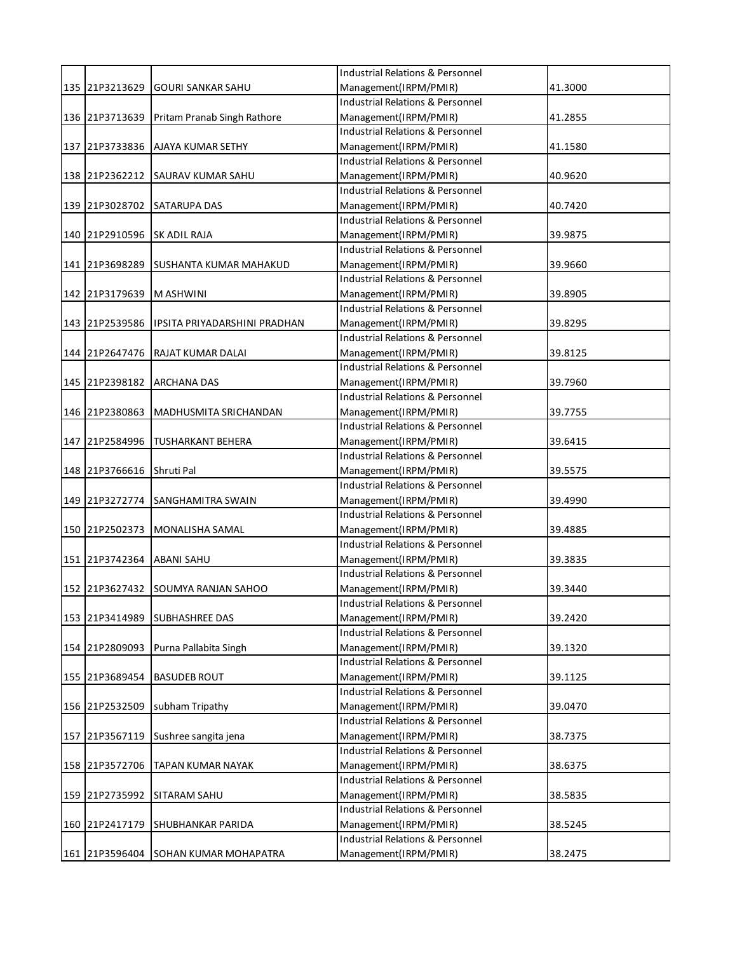|                             |                                       | <b>Industrial Relations &amp; Personnel</b> |         |
|-----------------------------|---------------------------------------|---------------------------------------------|---------|
| 135 21P3213629              | <b>GOURI SANKAR SAHU</b>              | Management(IRPM/PMIR)                       | 41.3000 |
|                             |                                       | <b>Industrial Relations &amp; Personnel</b> |         |
| 136 21P3713639              | Pritam Pranab Singh Rathore           | Management(IRPM/PMIR)                       | 41.2855 |
|                             |                                       | <b>Industrial Relations &amp; Personnel</b> |         |
|                             | 137 21P3733836 AJAYA KUMAR SETHY      | Management(IRPM/PMIR)                       | 41.1580 |
|                             |                                       | <b>Industrial Relations &amp; Personnel</b> |         |
|                             | 138 21P2362212 SAURAV KUMAR SAHU      | Management(IRPM/PMIR)                       | 40.9620 |
|                             |                                       | <b>Industrial Relations &amp; Personnel</b> |         |
|                             | 139 21P3028702 SATARUPA DAS           | Management(IRPM/PMIR)                       | 40.7420 |
|                             |                                       | <b>Industrial Relations &amp; Personnel</b> |         |
| 140 21P2910596 SK ADIL RAJA |                                       | Management(IRPM/PMIR)                       | 39.9875 |
|                             |                                       | <b>Industrial Relations &amp; Personnel</b> |         |
|                             | 141 21P3698289 SUSHANTA KUMAR MAHAKUD | Management(IRPM/PMIR)                       | 39.9660 |
|                             |                                       | <b>Industrial Relations &amp; Personnel</b> |         |
| 142 21P3179639              | M ASHWINI                             | Management(IRPM/PMIR)                       | 39.8905 |
|                             |                                       | <b>Industrial Relations &amp; Personnel</b> |         |
| 143 21P2539586              | IPSITA PRIYADARSHINI PRADHAN          | Management(IRPM/PMIR)                       | 39.8295 |
|                             |                                       | <b>Industrial Relations &amp; Personnel</b> |         |
| 144 21P2647476              | <b>RAJAT KUMAR DALAI</b>              | Management(IRPM/PMIR)                       | 39.8125 |
|                             |                                       | <b>Industrial Relations &amp; Personnel</b> |         |
| 145 21P2398182              | <b>ARCHANA DAS</b>                    | Management(IRPM/PMIR)                       | 39.7960 |
|                             |                                       | <b>Industrial Relations &amp; Personnel</b> |         |
| 146 21P2380863              | MADHUSMITA SRICHANDAN                 | Management(IRPM/PMIR)                       | 39.7755 |
|                             |                                       | <b>Industrial Relations &amp; Personnel</b> |         |
| 147 21P2584996              | <b>TUSHARKANT BEHERA</b>              | Management(IRPM/PMIR)                       | 39.6415 |
|                             |                                       | <b>Industrial Relations &amp; Personnel</b> |         |
| 148 21P3766616 Shruti Pal   |                                       | Management(IRPM/PMIR)                       | 39.5575 |
|                             |                                       | <b>Industrial Relations &amp; Personnel</b> |         |
|                             | 149 21P3272774 SANGHAMITRA SWAIN      | Management(IRPM/PMIR)                       | 39.4990 |
|                             |                                       | <b>Industrial Relations &amp; Personnel</b> |         |
| 150 21P2502373              | MONALISHA SAMAL                       | Management(IRPM/PMIR)                       | 39.4885 |
|                             |                                       | <b>Industrial Relations &amp; Personnel</b> |         |
| 151 21P3742364              | <b>ABANI SAHU</b>                     | Management(IRPM/PMIR)                       | 39.3835 |
|                             |                                       | <b>Industrial Relations &amp; Personnel</b> |         |
|                             | 152 21P3627432 SOUMYA RANJAN SAHOO    | Management(IRPM/PMIR)                       | 39.3440 |
|                             |                                       | <b>Industrial Relations &amp; Personnel</b> |         |
| 153 21P3414989              | <b>SUBHASHREE DAS</b>                 | Management(IRPM/PMIR)                       | 39.2420 |
|                             |                                       | <b>Industrial Relations &amp; Personnel</b> |         |
| 154 21P2809093              | Purna Pallabita Singh                 | Management(IRPM/PMIR)                       | 39.1320 |
|                             |                                       | <b>Industrial Relations &amp; Personnel</b> |         |
| 155 21P3689454              | <b>BASUDEB ROUT</b>                   | Management(IRPM/PMIR)                       | 39.1125 |
|                             |                                       | <b>Industrial Relations &amp; Personnel</b> |         |
| 156 21P2532509              | subham Tripathy                       | Management(IRPM/PMIR)                       | 39.0470 |
|                             |                                       | Industrial Relations & Personnel            |         |
| 157 21P3567119              | Sushree sangita jena                  | Management(IRPM/PMIR)                       | 38.7375 |
|                             |                                       | <b>Industrial Relations &amp; Personnel</b> |         |
| 158 21P3572706              | TAPAN KUMAR NAYAK                     | Management(IRPM/PMIR)                       | 38.6375 |
|                             |                                       | <b>Industrial Relations &amp; Personnel</b> |         |
| 159 21P2735992              | SITARAM SAHU                          | Management(IRPM/PMIR)                       | 38.5835 |
|                             |                                       | <b>Industrial Relations &amp; Personnel</b> |         |
| 160 21P2417179              | SHUBHANKAR PARIDA                     | Management(IRPM/PMIR)                       | 38.5245 |
|                             |                                       | <b>Industrial Relations &amp; Personnel</b> |         |
|                             | 161 21P3596404 SOHAN KUMAR MOHAPATRA  | Management(IRPM/PMIR)                       | 38.2475 |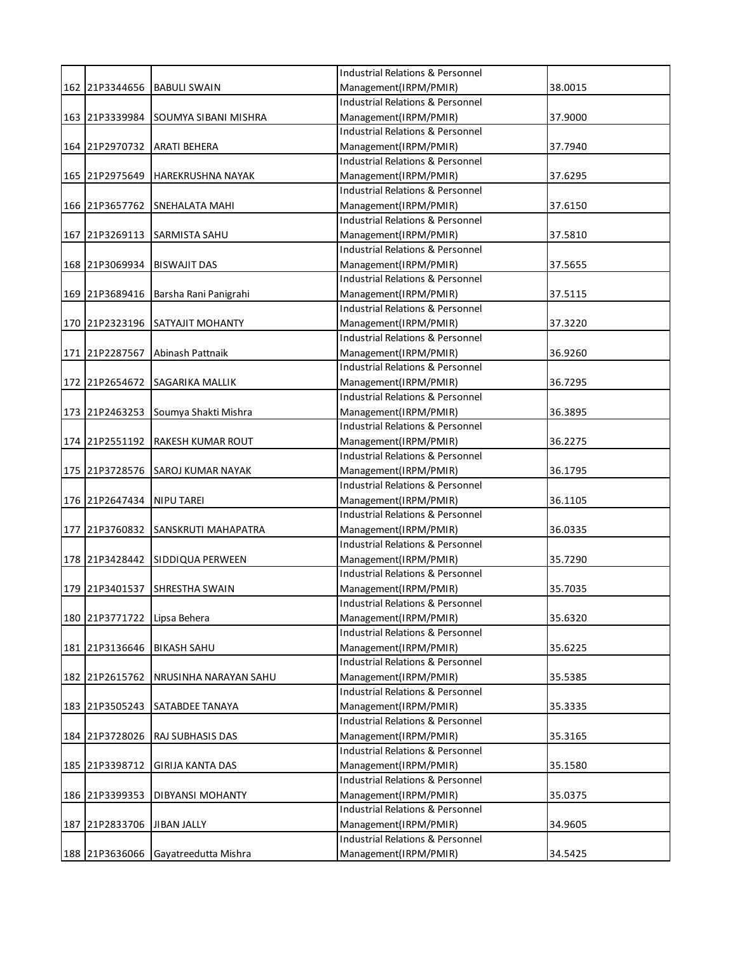|                |                                     | <b>Industrial Relations &amp; Personnel</b>                          |         |
|----------------|-------------------------------------|----------------------------------------------------------------------|---------|
| 162 21P3344656 | <b>BABULI SWAIN</b>                 | Management(IRPM/PMIR)                                                | 38.0015 |
|                |                                     | <b>Industrial Relations &amp; Personnel</b>                          |         |
|                | 163 21P3339984 SOUMYA SIBANI MISHRA | Management(IRPM/PMIR)                                                | 37.9000 |
|                |                                     | <b>Industrial Relations &amp; Personnel</b>                          |         |
|                | 164 21P2970732 ARATI BEHERA         | Management(IRPM/PMIR)                                                | 37.7940 |
|                |                                     | <b>Industrial Relations &amp; Personnel</b>                          |         |
|                | 165 21P2975649 HAREKRUSHNA NAYAK    | Management(IRPM/PMIR)                                                | 37.6295 |
|                |                                     | <b>Industrial Relations &amp; Personnel</b>                          |         |
|                | 166 21P3657762 SNEHALATA MAHI       | Management(IRPM/PMIR)                                                | 37.6150 |
|                |                                     | <b>Industrial Relations &amp; Personnel</b>                          |         |
|                | 167 21P3269113 SARMISTA SAHU        | Management(IRPM/PMIR)                                                | 37.5810 |
|                |                                     | <b>Industrial Relations &amp; Personnel</b>                          |         |
|                | 168 21P3069934 BISWAJIT DAS         | Management(IRPM/PMIR)                                                | 37.5655 |
|                |                                     | <b>Industrial Relations &amp; Personnel</b>                          |         |
|                |                                     |                                                                      |         |
| 169 21P3689416 | Barsha Rani Panigrahi               | Management(IRPM/PMIR)<br><b>Industrial Relations &amp; Personnel</b> | 37.5115 |
|                |                                     |                                                                      |         |
| 170 21P2323196 | SATYAJIT MOHANTY                    | Management(IRPM/PMIR)                                                | 37.3220 |
|                |                                     | <b>Industrial Relations &amp; Personnel</b>                          |         |
| 171 21P2287567 | Abinash Pattnaik                    | Management(IRPM/PMIR)                                                | 36.9260 |
|                |                                     | <b>Industrial Relations &amp; Personnel</b>                          |         |
| 172 21P2654672 | <b>SAGARIKA MALLIK</b>              | Management(IRPM/PMIR)                                                | 36.7295 |
|                |                                     | <b>Industrial Relations &amp; Personnel</b>                          |         |
|                | 173 21P2463253 Soumya Shakti Mishra | Management(IRPM/PMIR)                                                | 36.3895 |
|                |                                     | <b>Industrial Relations &amp; Personnel</b>                          |         |
|                | 174 21P2551192 RAKESH KUMAR ROUT    | Management(IRPM/PMIR)                                                | 36.2275 |
|                |                                     | <b>Industrial Relations &amp; Personnel</b>                          |         |
|                | 175 21P3728576 SAROJ KUMAR NAYAK    | Management(IRPM/PMIR)                                                | 36.1795 |
|                |                                     | <b>Industrial Relations &amp; Personnel</b>                          |         |
| 176 21P2647434 | <b>NIPU TAREI</b>                   | Management(IRPM/PMIR)                                                | 36.1105 |
|                |                                     | <b>Industrial Relations &amp; Personnel</b>                          |         |
|                | 177 21P3760832 SANSKRUTI MAHAPATRA  | Management(IRPM/PMIR)                                                | 36.0335 |
|                |                                     | <b>Industrial Relations &amp; Personnel</b>                          |         |
| 178 21P3428442 | SIDDIQUA PERWEEN                    | Management(IRPM/PMIR)                                                | 35.7290 |
|                |                                     | <b>Industrial Relations &amp; Personnel</b>                          |         |
|                | 179 21P3401537 SHRESTHA SWAIN       | Management(IRPM/PMIR)                                                | 35.7035 |
|                |                                     | <b>Industrial Relations &amp; Personnel</b>                          |         |
| 180 21P3771722 | Lipsa Behera                        | Management(IRPM/PMIR)                                                | 35.6320 |
|                |                                     | <b>Industrial Relations &amp; Personnel</b>                          |         |
| 181 21P3136646 | <b>BIKASH SAHU</b>                  | Management(IRPM/PMIR)                                                | 35.6225 |
|                |                                     | <b>Industrial Relations &amp; Personnel</b>                          |         |
| 182 21P2615762 | NRUSINHA NARAYAN SAHU               | Management(IRPM/PMIR)                                                | 35.5385 |
|                |                                     | <b>Industrial Relations &amp; Personnel</b>                          |         |
| 183 21P3505243 | SATABDEE TANAYA                     | Management(IRPM/PMIR)                                                | 35.3335 |
|                |                                     | Industrial Relations & Personnel                                     |         |
| 184 21P3728026 | RAJ SUBHASIS DAS                    | Management(IRPM/PMIR)                                                | 35.3165 |
|                |                                     | <b>Industrial Relations &amp; Personnel</b>                          |         |
| 185 21P3398712 | <b>GIRIJA KANTA DAS</b>             | Management(IRPM/PMIR)                                                | 35.1580 |
|                |                                     | <b>Industrial Relations &amp; Personnel</b>                          |         |
| 186 21P3399353 | <b>DIBYANSI MOHANTY</b>             | Management(IRPM/PMIR)                                                | 35.0375 |
|                |                                     | <b>Industrial Relations &amp; Personnel</b>                          |         |
| 187 21P2833706 | <b>JIBAN JALLY</b>                  | Management(IRPM/PMIR)                                                | 34.9605 |
|                |                                     | <b>Industrial Relations &amp; Personnel</b>                          |         |
| 188 21P3636066 | Gayatreedutta Mishra                | Management(IRPM/PMIR)                                                | 34.5425 |
|                |                                     |                                                                      |         |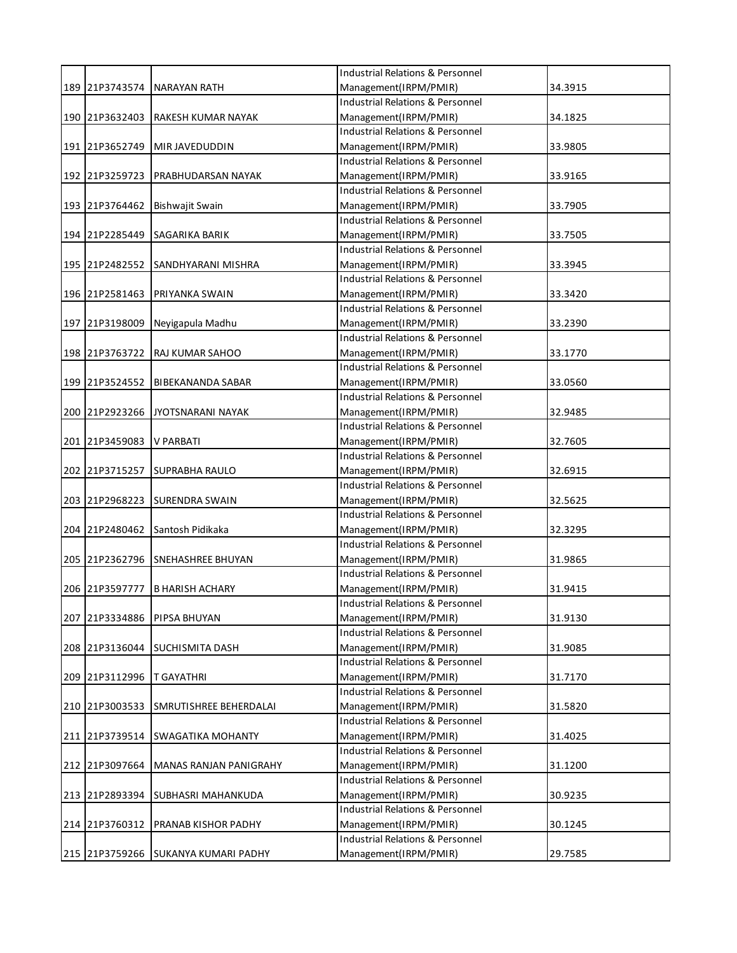|                |                                     | <b>Industrial Relations &amp; Personnel</b> |         |
|----------------|-------------------------------------|---------------------------------------------|---------|
|                | 189 21P3743574 NARAYAN RATH         | Management(IRPM/PMIR)                       | 34.3915 |
|                |                                     | <b>Industrial Relations &amp; Personnel</b> |         |
|                | 190 21P3632403 RAKESH KUMAR NAYAK   | Management(IRPM/PMIR)                       | 34.1825 |
|                |                                     | <b>Industrial Relations &amp; Personnel</b> |         |
|                | 191 21P3652749 MIR JAVEDUDDIN       | Management(IRPM/PMIR)                       | 33.9805 |
|                |                                     | <b>Industrial Relations &amp; Personnel</b> |         |
|                | 192 21P3259723 PRABHUDARSAN NAYAK   | Management(IRPM/PMIR)                       | 33.9165 |
|                |                                     | <b>Industrial Relations &amp; Personnel</b> |         |
| 193 21P3764462 | <b>Bishwajit Swain</b>              | Management(IRPM/PMIR)                       | 33.7905 |
|                |                                     | <b>Industrial Relations &amp; Personnel</b> |         |
| 194 21P2285449 | SAGARIKA BARIK                      | Management(IRPM/PMIR)                       | 33.7505 |
|                |                                     | <b>Industrial Relations &amp; Personnel</b> |         |
|                | 195 21P2482552 SANDHYARANI MISHRA   | Management(IRPM/PMIR)                       | 33.3945 |
|                |                                     | <b>Industrial Relations &amp; Personnel</b> |         |
| 196 21P2581463 | PRIYANKA SWAIN                      | Management(IRPM/PMIR)                       | 33.3420 |
|                |                                     | <b>Industrial Relations &amp; Personnel</b> |         |
| 197 21P3198009 | Neyigapula Madhu                    | Management(IRPM/PMIR)                       | 33.2390 |
|                |                                     | <b>Industrial Relations &amp; Personnel</b> |         |
| 198 21P3763722 | <b>RAJ KUMAR SAHOO</b>              | Management(IRPM/PMIR)                       | 33.1770 |
|                |                                     | <b>Industrial Relations &amp; Personnel</b> |         |
| 199 21P3524552 | <b>BIBEKANANDA SABAR</b>            | Management(IRPM/PMIR)                       | 33.0560 |
|                |                                     | <b>Industrial Relations &amp; Personnel</b> |         |
|                | 200 21P2923266 JYOTSNARANI NAYAK    | Management(IRPM/PMIR)                       | 32.9485 |
|                |                                     | <b>Industrial Relations &amp; Personnel</b> |         |
| 201 21P3459083 | <b>V PARBATI</b>                    | Management(IRPM/PMIR)                       | 32.7605 |
|                |                                     | <b>Industrial Relations &amp; Personnel</b> |         |
| 202 21P3715257 | <b>SUPRABHA RAULO</b>               | Management(IRPM/PMIR)                       | 32.6915 |
|                |                                     | <b>Industrial Relations &amp; Personnel</b> |         |
|                | 203 21P2968223 SURENDRA SWAIN       | Management(IRPM/PMIR)                       | 32.5625 |
|                |                                     | <b>Industrial Relations &amp; Personnel</b> |         |
| 204 21P2480462 | Santosh Pidikaka                    | Management(IRPM/PMIR)                       | 32.3295 |
|                |                                     | <b>Industrial Relations &amp; Personnel</b> |         |
| 205 21P2362796 | <b>SNEHASHREE BHUYAN</b>            | Management(IRPM/PMIR)                       | 31.9865 |
|                |                                     | <b>Industrial Relations &amp; Personnel</b> |         |
|                | 206 21P3597777 B HARISH ACHARY      | Management(IRPM/PMIR)                       | 31.9415 |
|                |                                     | <b>Industrial Relations &amp; Personnel</b> |         |
| 207 21P3334886 | PIPSA BHUYAN                        | Management(IRPM/PMIR)                       | 31.9130 |
|                |                                     | <b>Industrial Relations &amp; Personnel</b> |         |
| 208 21P3136044 | <b>SUCHISMITA DASH</b>              | Management(IRPM/PMIR)                       | 31.9085 |
|                |                                     | <b>Industrial Relations &amp; Personnel</b> |         |
| 209 21P3112996 | <b>T GAYATHRI</b>                   | Management(IRPM/PMIR)                       | 31.7170 |
|                |                                     | <b>Industrial Relations &amp; Personnel</b> |         |
| 210 21P3003533 | SMRUTISHREE BEHERDALAI              | Management(IRPM/PMIR)                       | 31.5820 |
|                |                                     | Industrial Relations & Personnel            |         |
| 211 21P3739514 | <b>SWAGATIKA MOHANTY</b>            | Management(IRPM/PMIR)                       | 31.4025 |
|                |                                     | <b>Industrial Relations &amp; Personnel</b> |         |
| 212 21P3097664 | MANAS RANJAN PANIGRAHY              | Management(IRPM/PMIR)                       | 31.1200 |
|                |                                     | <b>Industrial Relations &amp; Personnel</b> |         |
| 213 21P2893394 | SUBHASRI MAHANKUDA                  | Management(IRPM/PMIR)                       | 30.9235 |
|                |                                     | <b>Industrial Relations &amp; Personnel</b> |         |
| 214 21P3760312 | PRANAB KISHOR PADHY                 | Management(IRPM/PMIR)                       | 30.1245 |
|                |                                     | <b>Industrial Relations &amp; Personnel</b> |         |
|                | 215 21P3759266 SUKANYA KUMARI PADHY | Management(IRPM/PMIR)                       | 29.7585 |